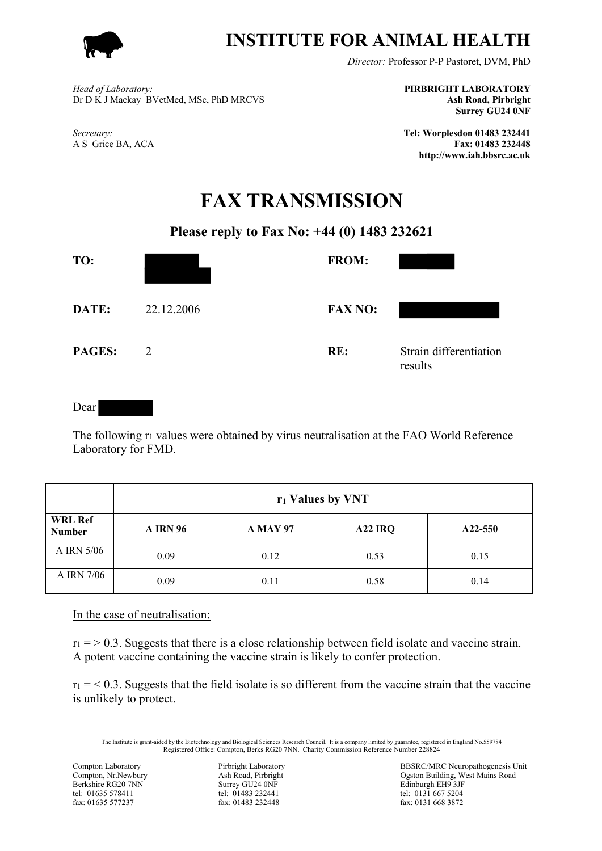

## **INSTITUTE FOR ANIMAL HEALTH**

*Director:* Professor P-P Pastoret, DVM, PhD

*Head of Laboratory:* **PIRBRIGHT LABORATORY** Dr D K J Mackay BVetMed, MSc, PhD MRCVS **Ash Road, Pirbright**

**Surrey GU24 0NF**

*Secretary:* **Tel: Worplesdon 01483 232441** A S Grice BA, ACA **Fax: 01483 232448 http://www.iah.bbsrc.ac.uk**

## **FAX TRANSMISSION**

## **Please reply to Fax No: +44 (0) 1483 232621**

| TO:    |            | <b>FROM:</b>   |                                   |
|--------|------------|----------------|-----------------------------------|
| DATE:  | 22.12.2006 | <b>FAX NO:</b> |                                   |
| PAGES: | 2          | RE:            | Strain differentiation<br>results |

Dear

The following r<sub>1</sub> values were obtained by virus neutralisation at the FAO World Reference Laboratory for FMD.

|                                 | r <sub>1</sub> Values by VNT |                 |                     |         |  |
|---------------------------------|------------------------------|-----------------|---------------------|---------|--|
| <b>WRL Ref</b><br><b>Number</b> | <b>A IRN 96</b>              | <b>A MAY 97</b> | A <sub>22</sub> IRQ | A22-550 |  |
| A IRN 5/06                      | 0.09                         | 0.12            | 0.53                | 0.15    |  |
| A IRN 7/06                      | 0.09                         | 0.11            | 0.58                | 0.14    |  |

In the case of neutralisation:

 $r_1$  = > 0.3. Suggests that there is a close relationship between field isolate and vaccine strain. A potent vaccine containing the vaccine strain is likely to confer protection.

 $r_1 = 0.3$ . Suggests that the field isolate is so different from the vaccine strain that the vaccine is unlikely to protect.

The Institute is grant-aided by the Biotechnology and Biological Sciences Research Council. It is a company limited by guarantee, registered in England No.559784<br>Registered Office: Compton, Berks RG20 7NN. Charity Commiss  $\_$  , and the state of the state of the state of the state of the state of the state of the state of the state of the state of the state of the state of the state of the state of the state of the state of the state of the

fax: 01483 232448